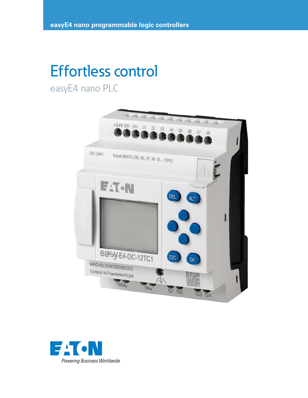# Effortless control

easyE4 nano PLC



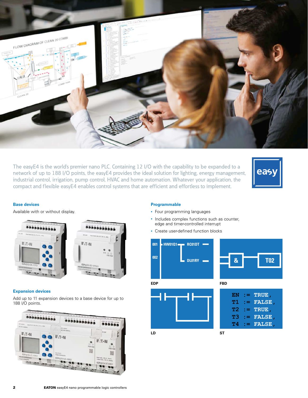

The easyE4 is the world's premier nano PLC. Containing 12 I/O with the capability to be expanded to a network of up to 188 I/O points, the easyE4 provides the ideal solution for lighting, energy management, industrial control, irrigation, pump control, HVAC and home automation. Whatever your application, the compact and flexible easyE4 enables control systems that are efficient and effortless to implement.



#### **Base devices**

Available with or without display.





#### **Expansion devices**

Add up to 11 expansion devices to a base device for up to 188 I/O points.



## **Programmable**

- Four programming languages
- Includes complex functions such as counter, edge and timer-controlled interrupt
- Create user-defined function blocks

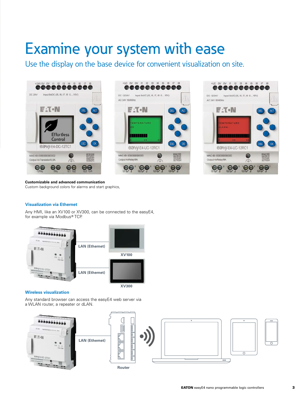## Examine your system with ease

Use the display on the base device for convenient visualization on site.







## **Customizable and advanced communication**

Custom background colors for alarms and start graphics,

## **Visualization via Ethernet**

Any HMI, like an XV100 or XV300, can be connected to the easyE4, for example via Modbus® TCP.



#### **Wireless visualization**

Any standard browser can access the easyE4 web server via a WLAN router, a repeater or dLAN.